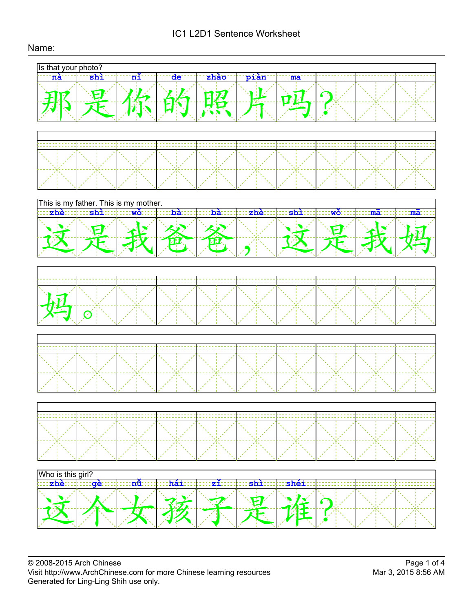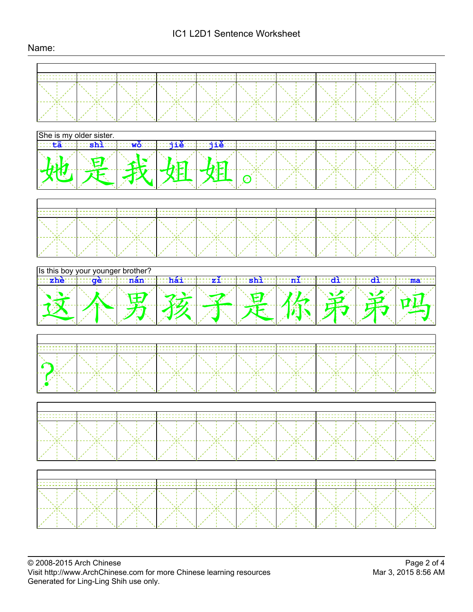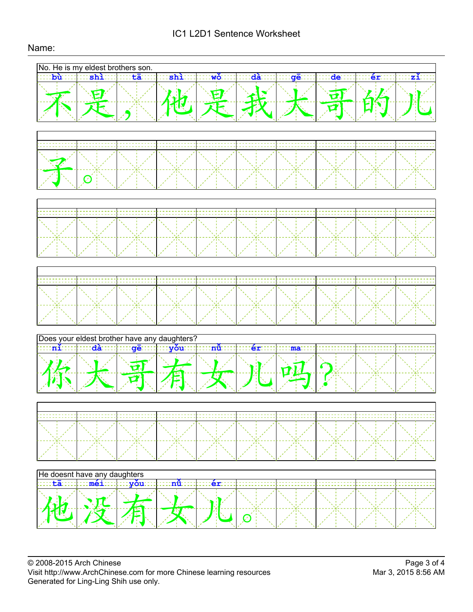# IC1 L2D1 Sentence Worksheet